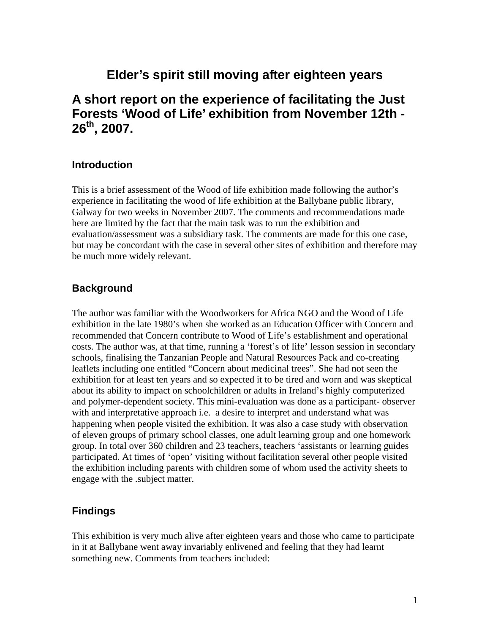## **Elder's spirit still moving after eighteen years**

# **A short report on the experience of facilitating the Just Forests 'Wood of Life' exhibition from November 12th - 26th, 2007.**

#### **Introduction**

This is a brief assessment of the Wood of life exhibition made following the author's experience in facilitating the wood of life exhibition at the Ballybane public library, Galway for two weeks in November 2007. The comments and recommendations made here are limited by the fact that the main task was to run the exhibition and evaluation/assessment was a subsidiary task. The comments are made for this one case, but may be concordant with the case in several other sites of exhibition and therefore may be much more widely relevant.

#### **Background**

The author was familiar with the Woodworkers for Africa NGO and the Wood of Life exhibition in the late 1980's when she worked as an Education Officer with Concern and recommended that Concern contribute to Wood of Life's establishment and operational costs. The author was, at that time, running a 'forest's of life' lesson session in secondary schools, finalising the Tanzanian People and Natural Resources Pack and co-creating leaflets including one entitled "Concern about medicinal trees". She had not seen the exhibition for at least ten years and so expected it to be tired and worn and was skeptical about its ability to impact on schoolchildren or adults in Ireland's highly computerized and polymer-dependent society. This mini-evaluation was done as a participant- observer with and interpretative approach i.e. a desire to interpret and understand what was happening when people visited the exhibition. It was also a case study with observation of eleven groups of primary school classes, one adult learning group and one homework group. In total over 360 children and 23 teachers, teachers 'assistants or learning guides participated. At times of 'open' visiting without facilitation several other people visited the exhibition including parents with children some of whom used the activity sheets to engage with the .subject matter.

#### **Findings**

This exhibition is very much alive after eighteen years and those who came to participate in it at Ballybane went away invariably enlivened and feeling that they had learnt something new. Comments from teachers included: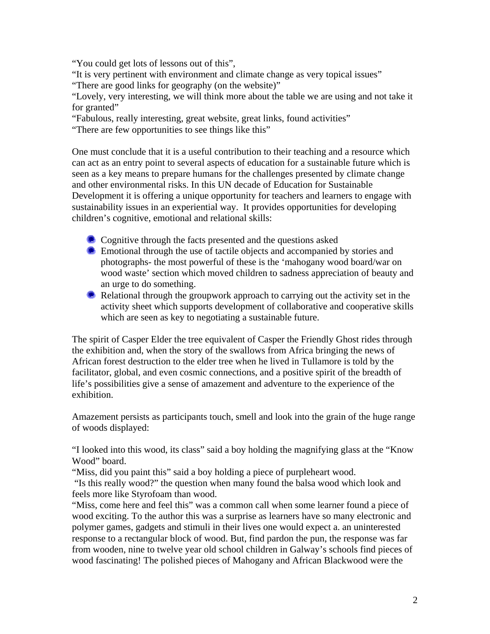"You could get lots of lessons out of this",

"It is very pertinent with environment and climate change as very topical issues"

"There are good links for geography (on the website)"

"Lovely, very interesting, we will think more about the table we are using and not take it for granted"

"Fabulous, really interesting, great website, great links, found activities"

"There are few opportunities to see things like this"

One must conclude that it is a useful contribution to their teaching and a resource which can act as an entry point to several aspects of education for a sustainable future which is seen as a key means to prepare humans for the challenges presented by climate change and other environmental risks. In this UN decade of Education for Sustainable Development it is offering a unique opportunity for teachers and learners to engage with sustainability issues in an experiential way. It provides opportunities for developing children's cognitive, emotional and relational skills:

- **Cognitive through the facts presented and the questions asked**
- Emotional through the use of tactile objects and accompanied by stories and photographs- the most powerful of these is the 'mahogany wood board/war on wood waste' section which moved children to sadness appreciation of beauty and an urge to do something.
- Relational through the groupwork approach to carrying out the activity set in the activity sheet which supports development of collaborative and cooperative skills which are seen as key to negotiating a sustainable future.

The spirit of Casper Elder the tree equivalent of Casper the Friendly Ghost rides through the exhibition and, when the story of the swallows from Africa bringing the news of African forest destruction to the elder tree when he lived in Tullamore is told by the facilitator, global, and even cosmic connections, and a positive spirit of the breadth of life's possibilities give a sense of amazement and adventure to the experience of the exhibition.

Amazement persists as participants touch, smell and look into the grain of the huge range of woods displayed:

"I looked into this wood, its class" said a boy holding the magnifying glass at the "Know Wood" board.

"Miss, did you paint this" said a boy holding a piece of purpleheart wood.

 "Is this really wood?" the question when many found the balsa wood which look and feels more like Styrofoam than wood.

"Miss, come here and feel this" was a common call when some learner found a piece of wood exciting. To the author this was a surprise as learners have so many electronic and polymer games, gadgets and stimuli in their lives one would expect a. an uninterested response to a rectangular block of wood. But, find pardon the pun, the response was far from wooden, nine to twelve year old school children in Galway's schools find pieces of wood fascinating! The polished pieces of Mahogany and African Blackwood were the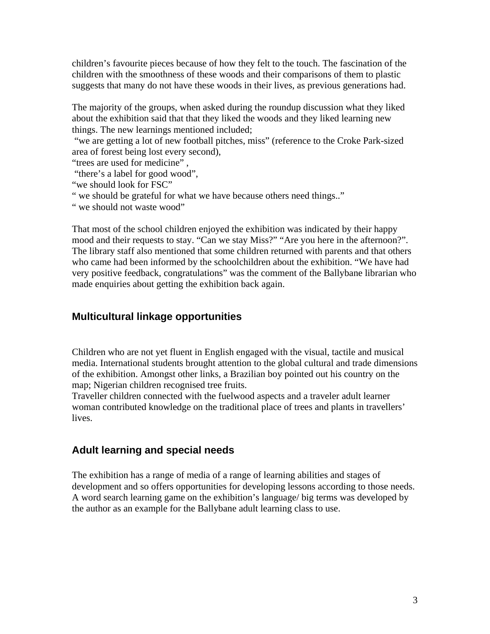children's favourite pieces because of how they felt to the touch. The fascination of the children with the smoothness of these woods and their comparisons of them to plastic suggests that many do not have these woods in their lives, as previous generations had.

The majority of the groups, when asked during the roundup discussion what they liked about the exhibition said that that they liked the woods and they liked learning new things. The new learnings mentioned included;

 "we are getting a lot of new football pitches, miss" (reference to the Croke Park-sized area of forest being lost every second),

"trees are used for medicine",

"there's a label for good wood",

"we should look for FSC"

" we should be grateful for what we have because others need things.."

" we should not waste wood"

That most of the school children enjoyed the exhibition was indicated by their happy mood and their requests to stay. "Can we stay Miss?" "Are you here in the afternoon?". The library staff also mentioned that some children returned with parents and that others who came had been informed by the schoolchildren about the exhibition. "We have had very positive feedback, congratulations" was the comment of the Ballybane librarian who made enquiries about getting the exhibition back again.

#### **Multicultural linkage opportunities**

Children who are not yet fluent in English engaged with the visual, tactile and musical media. International students brought attention to the global cultural and trade dimensions of the exhibition. Amongst other links, a Brazilian boy pointed out his country on the map; Nigerian children recognised tree fruits.

Traveller children connected with the fuelwood aspects and a traveler adult learner woman contributed knowledge on the traditional place of trees and plants in travellers' lives.

#### **Adult learning and special needs**

The exhibition has a range of media of a range of learning abilities and stages of development and so offers opportunities for developing lessons according to those needs. A word search learning game on the exhibition's language/ big terms was developed by the author as an example for the Ballybane adult learning class to use.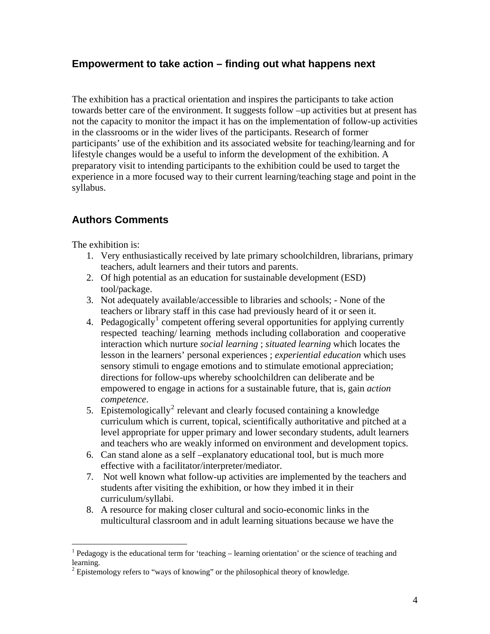#### **Empowerment to take action – finding out what happens next**

The exhibition has a practical orientation and inspires the participants to take action towards better care of the environment. It suggests follow –up activities but at present has not the capacity to monitor the impact it has on the implementation of follow-up activities in the classrooms or in the wider lives of the participants. Research of former participants' use of the exhibition and its associated website for teaching/learning and for lifestyle changes would be a useful to inform the development of the exhibition. A preparatory visit to intending participants to the exhibition could be used to target the experience in a more focused way to their current learning/teaching stage and point in the syllabus.

### **Authors Comments**

The exhibition is:

 $\overline{a}$ 

- 1. Very enthusiastically received by late primary schoolchildren, librarians, primary teachers, adult learners and their tutors and parents.
- 2. Of high potential as an education for sustainable development (ESD) tool/package.
- 3. Not adequately available/accessible to libraries and schools; None of the teachers or library staff in this case had previously heard of it or seen it.
- 4. Pedagogically<sup>[1](#page-3-0)</sup> competent offering several opportunities for applying currently respected teaching/ learning methods including collaboration and cooperative interaction which nurture *social learning* ; *situated learning* which locates the lesson in the learners' personal experiences ; *experiential education* which uses sensory stimuli to engage emotions and to stimulate emotional appreciation; directions for follow-ups whereby schoolchildren can deliberate and be empowered to engage in actions for a sustainable future, that is, gain *action competence*.
- 5. Epistemologically<sup>[2](#page-3-1)</sup> relevant and clearly focused containing a knowledge curriculum which is current, topical, scientifically authoritative and pitched at a level appropriate for upper primary and lower secondary students, adult learners and teachers who are weakly informed on environment and development topics.
- 6. Can stand alone as a self –explanatory educational tool, but is much more effective with a facilitator/interpreter/mediator.
- 7. Not well known what follow-up activities are implemented by the teachers and students after visiting the exhibition, or how they imbed it in their curriculum/syllabi.
- 8. A resource for making closer cultural and socio-economic links in the multicultural classroom and in adult learning situations because we have the

<span id="page-3-0"></span> $1$  Pedagogy is the educational term for 'teaching – learning orientation' or the science of teaching and learning.

<span id="page-3-1"></span> $2^2$  Epistemology refers to "ways of knowing" or the philosophical theory of knowledge.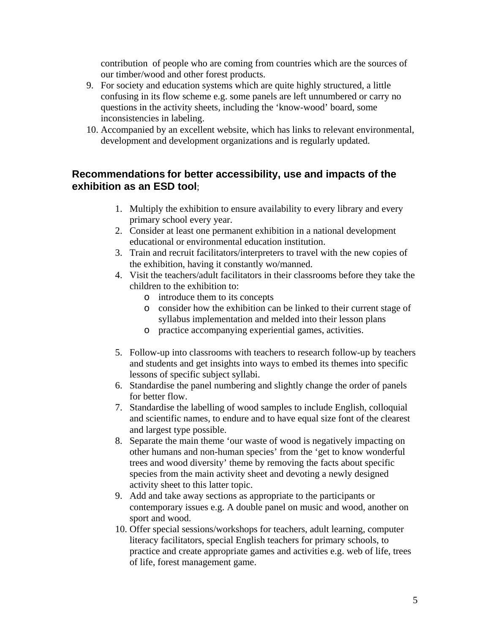contribution of people who are coming from countries which are the sources of our timber/wood and other forest products.

- 9. For society and education systems which are quite highly structured, a little confusing in its flow scheme e.g. some panels are left unnumbered or carry no questions in the activity sheets, including the 'know-wood' board, some inconsistencies in labeling.
- 10. Accompanied by an excellent website, which has links to relevant environmental, development and development organizations and is regularly updated.

#### **Recommendations for better accessibility, use and impacts of the exhibition as an ESD tool**;

- 1. Multiply the exhibition to ensure availability to every library and every primary school every year.
- 2. Consider at least one permanent exhibition in a national development educational or environmental education institution.
- 3. Train and recruit facilitators/interpreters to travel with the new copies of the exhibition, having it constantly wo/manned.
- 4. Visit the teachers/adult facilitators in their classrooms before they take the children to the exhibition to:
	- o introduce them to its concepts
	- o consider how the exhibition can be linked to their current stage of syllabus implementation and melded into their lesson plans
	- o practice accompanying experiential games, activities.
- 5. Follow-up into classrooms with teachers to research follow-up by teachers and students and get insights into ways to embed its themes into specific lessons of specific subject syllabi.
- 6. Standardise the panel numbering and slightly change the order of panels for better flow.
- 7. Standardise the labelling of wood samples to include English, colloquial and scientific names, to endure and to have equal size font of the clearest and largest type possible.
- 8. Separate the main theme 'our waste of wood is negatively impacting on other humans and non-human species' from the 'get to know wonderful trees and wood diversity' theme by removing the facts about specific species from the main activity sheet and devoting a newly designed activity sheet to this latter topic.
- 9. Add and take away sections as appropriate to the participants or contemporary issues e.g. A double panel on music and wood, another on sport and wood.
- 10. Offer special sessions/workshops for teachers, adult learning, computer literacy facilitators, special English teachers for primary schools, to practice and create appropriate games and activities e.g. web of life, trees of life, forest management game.